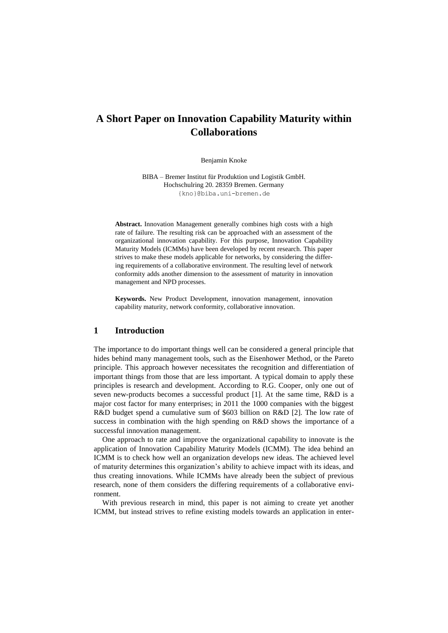# **A Short Paper on Innovation Capability Maturity within Collaborations**

Benjamin Knoke

BIBA – Bremer Institut für Produktion und Logistik GmbH. Hochschulring 20. 28359 Bremen. Germany [{kno}@biba.uni-bremen.de](mailto:%7bkno%7d@biba.uni-bremen.de)

**Abstract.** Innovation Management generally combines high costs with a high rate of failure. The resulting risk can be approached with an assessment of the organizational innovation capability. For this purpose, Innovation Capability Maturity Models (ICMMs) have been developed by recent research. This paper strives to make these models applicable for networks, by considering the differing requirements of a collaborative environment. The resulting level of network conformity adds another dimension to the assessment of maturity in innovation management and NPD processes.

**Keywords.** New Product Development, innovation management, innovation capability maturity, network conformity, collaborative innovation.

# **1 Introduction**

The importance to do important things well can be considered a general principle that hides behind many management tools, such as the Eisenhower Method, or the Pareto principle. This approach however necessitates the recognition and differentiation of important things from those that are less important. A typical domain to apply these principles is research and development. According to R.G. Cooper, only one out of seven new-products becomes a successful product [1]. At the same time, R&D is a major cost factor for many enterprises; in 2011 the 1000 companies with the biggest R&D budget spend a cumulative sum of \$603 billion on R&D [2]. The low rate of success in combination with the high spending on R&D shows the importance of a successful innovation management.

One approach to rate and improve the organizational capability to innovate is the application of Innovation Capability Maturity Models (ICMM). The idea behind an ICMM is to check how well an organization develops new ideas. The achieved level of maturity determines this organization's ability to achieve impact with its ideas, and thus creating innovations. While ICMMs have already been the subject of previous research, none of them considers the differing requirements of a collaborative environment.

With previous research in mind, this paper is not aiming to create yet another ICMM, but instead strives to refine existing models towards an application in enter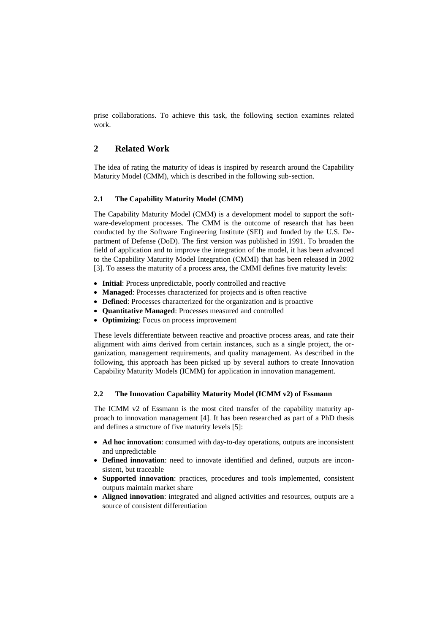prise collaborations. To achieve this task, the following section examines related work.

# **2 Related Work**

The idea of rating the maturity of ideas is inspired by research around the Capability Maturity Model (CMM), which is described in the following sub-section.

# **2.1 The Capability Maturity Model (CMM)**

The Capability Maturity Model (CMM) is a development model to support the software-development processes. The CMM is the outcome of research that has been conducted by the Software Engineering Institute (SEI) and funded by the U.S. Department of Defense (DoD). The first version was published in 1991. To broaden the field of application and to improve the integration of the model, it has been advanced to the Capability Maturity Model Integration (CMMI) that has been released in 2002 [\[3\]](#page-4-0). To assess the maturity of a process area, the CMMI defines five maturity levels:

- **Initial**: Process unpredictable, poorly controlled and reactive
- **Managed**: Processes characterized for projects and is often reactive
- **Defined**: Processes characterized for the organization and is proactive
- **Quantitative Managed**: Processes measured and controlled
- **Optimizing**: Focus on process improvement

These levels differentiate between reactive and proactive process areas, and rate their alignment with aims derived from certain instances, such as a single project, the organization, management requirements, and quality management. As described in the following, this approach has been picked up by several authors to create Innovation Capability Maturity Models (ICMM) for application in innovation management.

### **2.2 The Innovation Capability Maturity Model (ICMM v2) of Essmann**

The ICMM v2 of Essmann is the most cited transfer of the capability maturity approach to innovation management [\[4\]](#page-4-1). It has been researched as part of a PhD thesis and defines a structure of five maturity levels [\[5\]](#page-4-2):

- **Ad hoc innovation**: consumed with day-to-day operations, outputs are inconsistent and unpredictable
- **Defined innovation**: need to innovate identified and defined, outputs are inconsistent, but traceable
- **Supported innovation**: practices, procedures and tools implemented, consistent outputs maintain market share
- **Aligned innovation**: integrated and aligned activities and resources, outputs are a source of consistent differentiation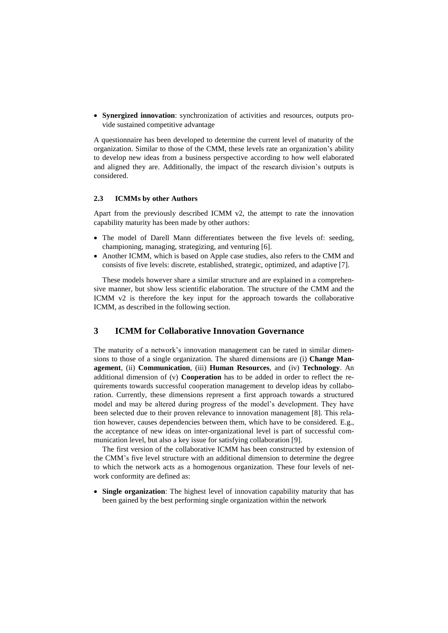**Synergized innovation**: synchronization of activities and resources, outputs provide sustained competitive advantage

A questionnaire has been developed to determine the current level of maturity of the organization. Similar to those of the CMM, these levels rate an organization's ability to develop new ideas from a business perspective according to how well elaborated and aligned they are. Additionally, the impact of the research division's outputs is considered.

#### **2.3 ICMMs by other Authors**

Apart from the previously described ICMM v2, the attempt to rate the innovation capability maturity has been made by other authors:

- The model of Darell Mann differentiates between the five levels of: seeding, championing, managing, strategizing, and venturing [\[6\]](#page-4-3).
- Another ICMM, which is based on Apple case studies, also refers to the CMM and consists of five levels: discrete, established, strategic, optimized, and adaptive [\[7\]](#page-4-4).

These models however share a similar structure and are explained in a comprehensive manner, but show less scientific elaboration. The structure of the CMM and the ICMM v2 is therefore the key input for the approach towards the collaborative ICMM, as described in the following section.

# **3 ICMM for Collaborative Innovation Governance**

The maturity of a network's innovation management can be rated in similar dimensions to those of a single organization. The shared dimensions are (i) **Change Management**, (ii) **Communication**, (iii) **Human Resources**, and (iv) **Technology**. An additional dimension of (v) **Cooperation** has to be added in order to reflect the requirements towards successful cooperation management to develop ideas by collaboration. Currently, these dimensions represent a first approach towards a structured model and may be altered during progress of the model's development. They have been selected due to their proven relevance to innovation management [\[8\]](#page-4-5). This relation however, causes dependencies between them, which have to be considered. E.g., the acceptance of new ideas on inter-organizational level is part of successful communication level, but also a key issue for satisfying collaboration [\[9\]](#page-4-6).

The first version of the collaborative ICMM has been constructed by extension of the CMM's five level structure with an additional dimension to determine the degree to which the network acts as a homogenous organization. These four levels of network conformity are defined as:

 **Single organization**: The highest level of innovation capability maturity that has been gained by the best performing single organization within the network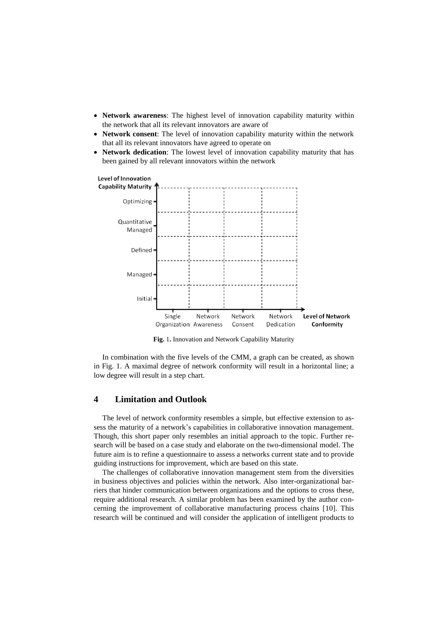- **Network awareness**: The highest level of innovation capability maturity within the network that all its relevant innovators are aware of
- **Network consent**: The level of innovation capability maturity within the network that all its relevant innovators have agreed to operate on
- **Network dedication**: The lowest level of innovation capability maturity that has been gained by all relevant innovators within the network



**Fig.** 1**.** Innovation and Network Capability Maturity

In combination with the five levels of the CMM, a graph can be created, as shown in Fig. 1. A maximal degree of network conformity will result in a horizontal line; a low degree will result in a step chart.

## **4 Limitation and Outlook**

The level of network conformity resembles a simple, but effective extension to assess the maturity of a network's capabilities in collaborative innovation management. Though, this short paper only resembles an initial approach to the topic. Further research will be based on a case study and elaborate on the two-dimensional model. The future aim is to refine a questionnaire to assess a networks current state and to provide guiding instructions for improvement, which are based on this state.

The challenges of collaborative innovation management stem from the diversities in business objectives and policies within the network. Also inter-organizational barriers that hinder communication between organizations and the options to cross these, require additional research. A similar problem has been examined by the author concerning the improvement of collaborative manufacturing process chains [\[10\]](#page-4-7). This research will be continued and will consider the application of intelligent products to